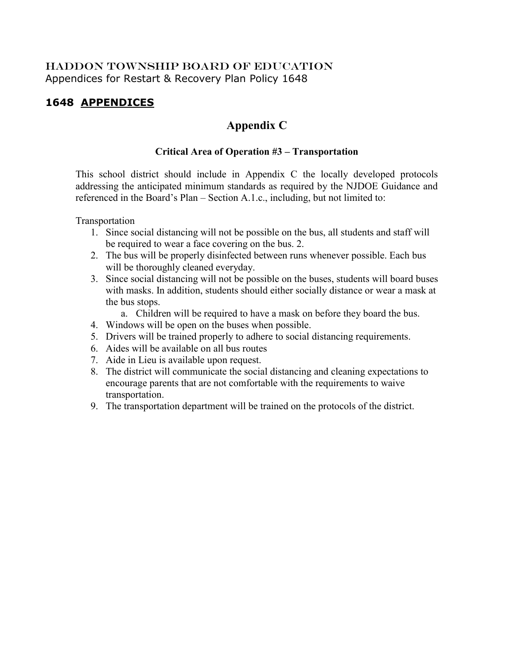# HADDON TOWNSHIP BOARD OF EDUCATION Appendices for Restart & Recovery Plan Policy 1648

# **1648 APPENDICES**

# **Appendix C**

# **Critical Area of Operation #3 – Transportation**

This school district should include in Appendix C the locally developed protocols addressing the anticipated minimum standards as required by the NJDOE Guidance and referenced in the Board's Plan – Section A.1.c., including, but not limited to:

Transportation

- 1. Since social distancing will not be possible on the bus, all students and staff will be required to wear a face covering on the bus. 2.
- 2. The bus will be properly disinfected between runs whenever possible. Each bus will be thoroughly cleaned everyday.
- 3. Since social distancing will not be possible on the buses, students will board buses with masks. In addition, students should either socially distance or wear a mask at the bus stops.
	- a. Children will be required to have a mask on before they board the bus.
- 4. Windows will be open on the buses when possible.
- 5. Drivers will be trained properly to adhere to social distancing requirements.
- 6. Aides will be available on all bus routes
- 7. Aide in Lieu is available upon request.
- 8. The district will communicate the social distancing and cleaning expectations to encourage parents that are not comfortable with the requirements to waive transportation.
- 9. The transportation department will be trained on the protocols of the district.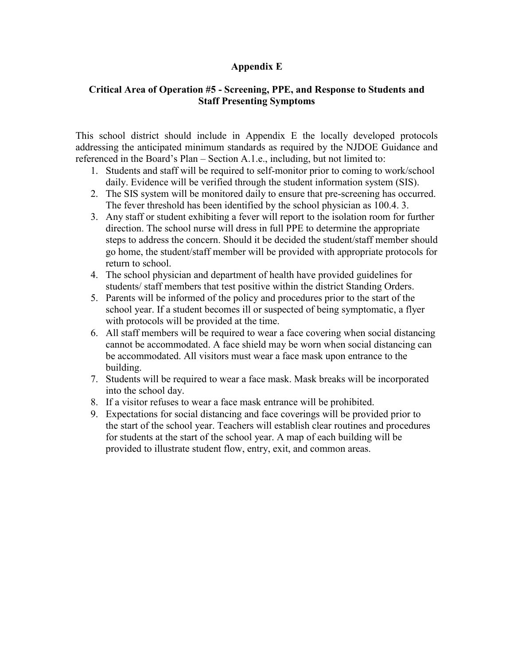### **Appendix E**

### **Critical Area of Operation #5 - Screening, PPE, and Response to Students and Staff Presenting Symptoms**

This school district should include in Appendix E the locally developed protocols addressing the anticipated minimum standards as required by the NJDOE Guidance and referenced in the Board's Plan – Section A.1.e., including, but not limited to:

- 1. Students and staff will be required to self-monitor prior to coming to work/school daily. Evidence will be verified through the student information system (SIS).
- 2. The SIS system will be monitored daily to ensure that pre-screening has occurred. The fever threshold has been identified by the school physician as 100.4. 3.
- 3. Any staff or student exhibiting a fever will report to the isolation room for further direction. The school nurse will dress in full PPE to determine the appropriate steps to address the concern. Should it be decided the student/staff member should go home, the student/staff member will be provided with appropriate protocols for return to school.
- 4. The school physician and department of health have provided guidelines for students/ staff members that test positive within the district Standing Orders.
- 5. Parents will be informed of the policy and procedures prior to the start of the school year. If a student becomes ill or suspected of being symptomatic, a flyer with protocols will be provided at the time.
- 6. All staff members will be required to wear a face covering when social distancing cannot be accommodated. A face shield may be worn when social distancing can be accommodated. All visitors must wear a face mask upon entrance to the building.
- 7. Students will be required to wear a face mask. Mask breaks will be incorporated into the school day.
- 8. If a visitor refuses to wear a face mask entrance will be prohibited.
- 9. Expectations for social distancing and face coverings will be provided prior to the start of the school year. Teachers will establish clear routines and procedures for students at the start of the school year. A map of each building will be provided to illustrate student flow, entry, exit, and common areas.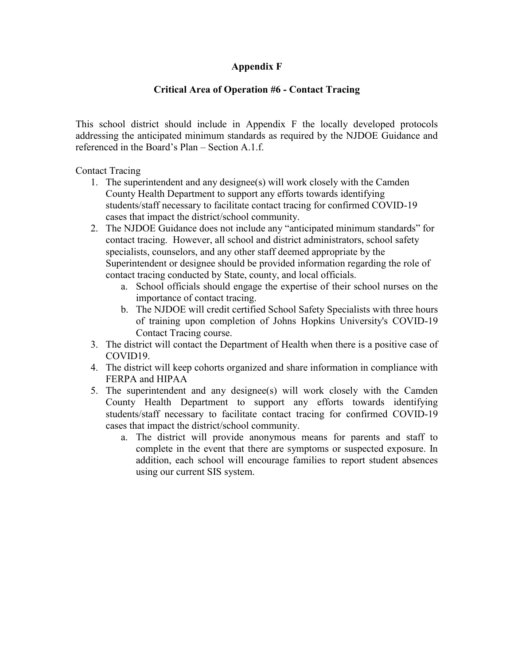# **Appendix F**

# **Critical Area of Operation #6 - Contact Tracing**

This school district should include in Appendix F the locally developed protocols addressing the anticipated minimum standards as required by the NJDOE Guidance and referenced in the Board's Plan – Section A.1.f.

Contact Tracing

- 1. The superintendent and any designee(s) will work closely with the Camden County Health Department to support any efforts towards identifying students/staff necessary to facilitate contact tracing for confirmed COVID-19 cases that impact the district/school community.
- 2. The NJDOE Guidance does not include any "anticipated minimum standards" for contact tracing. However, all school and district administrators, school safety specialists, counselors, and any other staff deemed appropriate by the Superintendent or designee should be provided information regarding the role of contact tracing conducted by State, county, and local officials.
	- a. School officials should engage the expertise of their school nurses on the importance of contact tracing.
	- b. The NJDOE will credit certified School Safety Specialists with three hours of training upon completion of Johns Hopkins University's COVID-19 Contact Tracing course.
- 3. The district will contact the Department of Health when there is a positive case of COVID19.
- 4. The district will keep cohorts organized and share information in compliance with FERPA and HIPAA
- 5. The superintendent and any designee(s) will work closely with the Camden County Health Department to support any efforts towards identifying students/staff necessary to facilitate contact tracing for confirmed COVID-19 cases that impact the district/school community.
	- a. The district will provide anonymous means for parents and staff to complete in the event that there are symptoms or suspected exposure. In addition, each school will encourage families to report student absences using our current SIS system.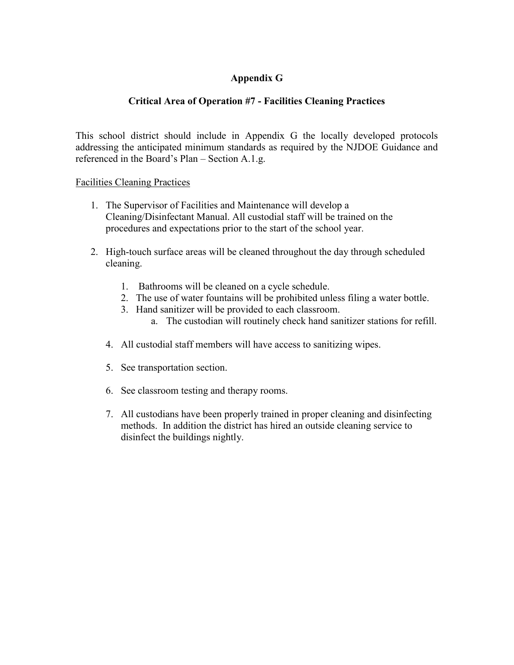# **Appendix G**

# **Critical Area of Operation #7 - Facilities Cleaning Practices**

This school district should include in Appendix G the locally developed protocols addressing the anticipated minimum standards as required by the NJDOE Guidance and referenced in the Board's Plan – Section A.1.g.

#### Facilities Cleaning Practices

- 1. The Supervisor of Facilities and Maintenance will develop a Cleaning/Disinfectant Manual. All custodial staff will be trained on the procedures and expectations prior to the start of the school year.
- 2. High-touch surface areas will be cleaned throughout the day through scheduled cleaning.
	- 1. Bathrooms will be cleaned on a cycle schedule.
	- 2. The use of water fountains will be prohibited unless filing a water bottle.
	- 3. Hand sanitizer will be provided to each classroom.
		- a. The custodian will routinely check hand sanitizer stations for refill.
	- 4. All custodial staff members will have access to sanitizing wipes.
	- 5. See transportation section.
	- 6. See classroom testing and therapy rooms.
	- 7. All custodians have been properly trained in proper cleaning and disinfecting methods. In addition the district has hired an outside cleaning service to disinfect the buildings nightly.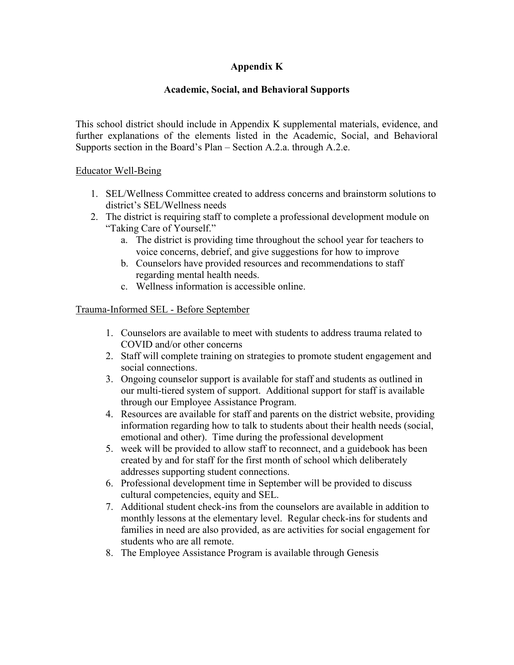# **Appendix K**

# **Academic, Social, and Behavioral Supports**

This school district should include in Appendix K supplemental materials, evidence, and further explanations of the elements listed in the Academic, Social, and Behavioral Supports section in the Board's Plan – Section A.2.a. through A.2.e.

### Educator Well-Being

- 1. SEL/Wellness Committee created to address concerns and brainstorm solutions to district's SEL/Wellness needs
- 2. The district is requiring staff to complete a professional development module on "Taking Care of Yourself."
	- a. The district is providing time throughout the school year for teachers to voice concerns, debrief, and give suggestions for how to improve
	- b. Counselors have provided resources and recommendations to staff regarding mental health needs.
	- c. Wellness information is accessible online.

#### Trauma-Informed SEL - Before September

- 1. Counselors are available to meet with students to address trauma related to COVID and/or other concerns
- 2. Staff will complete training on strategies to promote student engagement and social connections.
- 3. Ongoing counselor support is available for staff and students as outlined in our multi-tiered system of support. Additional support for staff is available through our Employee Assistance Program.
- 4. Resources are available for staff and parents on the district website, providing information regarding how to talk to students about their health needs (social, emotional and other). Time during the professional development
- 5. week will be provided to allow staff to reconnect, and a guidebook has been created by and for staff for the first month of school which deliberately addresses supporting student connections.
- 6. Professional development time in September will be provided to discuss cultural competencies, equity and SEL.
- 7. Additional student check-ins from the counselors are available in addition to monthly lessons at the elementary level. Regular check-ins for students and families in need are also provided, as are activities for social engagement for students who are all remote.
- 8. The Employee Assistance Program is available through Genesis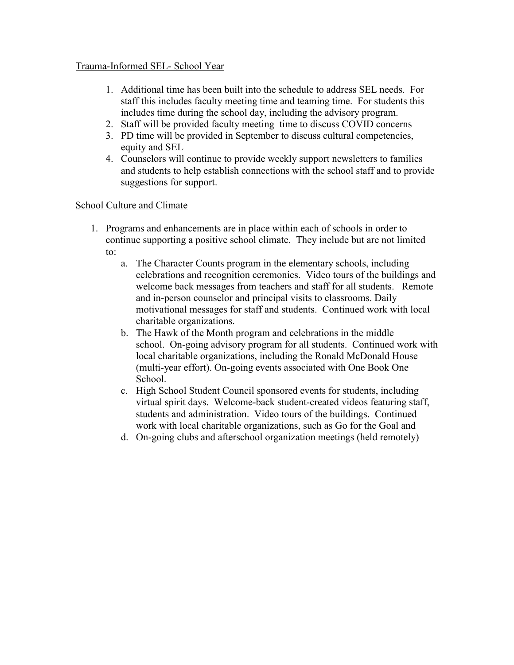#### Trauma-Informed SEL- School Year

- 1. Additional time has been built into the schedule to address SEL needs. For staff this includes faculty meeting time and teaming time. For students this includes time during the school day, including the advisory program.
- 2. Staff will be provided faculty meeting time to discuss COVID concerns
- 3. PD time will be provided in September to discuss cultural competencies, equity and SEL
- 4. Counselors will continue to provide weekly support newsletters to families and students to help establish connections with the school staff and to provide suggestions for support.

# School Culture and Climate

- 1. Programs and enhancements are in place within each of schools in order to continue supporting a positive school climate. They include but are not limited to:
	- a. The Character Counts program in the elementary schools, including celebrations and recognition ceremonies. Video tours of the buildings and welcome back messages from teachers and staff for all students. Remote and in-person counselor and principal visits to classrooms. Daily motivational messages for staff and students. Continued work with local charitable organizations.
	- b. The Hawk of the Month program and celebrations in the middle school. On-going advisory program for all students. Continued work with local charitable organizations, including the Ronald McDonald House (multi-year effort). On-going events associated with One Book One School.
	- c. High School Student Council sponsored events for students, including virtual spirit days. Welcome-back student-created videos featuring staff, students and administration. Video tours of the buildings. Continued work with local charitable organizations, such as Go for the Goal and
	- d. On-going clubs and afterschool organization meetings (held remotely)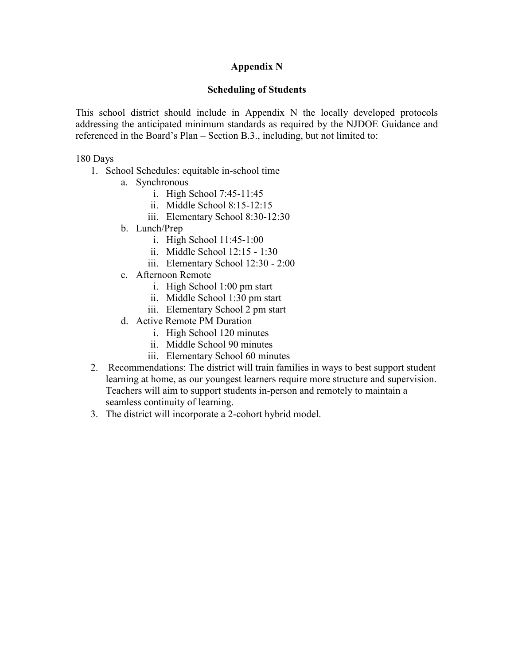### **Appendix N**

#### **Scheduling of Students**

This school district should include in Appendix N the locally developed protocols addressing the anticipated minimum standards as required by the NJDOE Guidance and referenced in the Board's Plan – Section B.3., including, but not limited to:

#### 180 Days

- 1. School Schedules: equitable in-school time
	- a. Synchronous
		- i. High School 7:45-11:45
		- ii. Middle School 8:15-12:15
		- iii. Elementary School 8:30-12:30
	- b. Lunch/Prep
		- i. High School 11:45-1:00
		- ii. Middle School 12:15 1:30
		- iii. Elementary School 12:30 2:00
	- c. Afternoon Remote
		- i. High School 1:00 pm start
		- ii. Middle School 1:30 pm start
		- iii. Elementary School 2 pm start
	- d. Active Remote PM Duration
		- i. High School 120 minutes
		- ii. Middle School 90 minutes
		- iii. Elementary School 60 minutes
- 2. Recommendations: The district will train families in ways to best support student learning at home, as our youngest learners require more structure and supervision. Teachers will aim to support students in-person and remotely to maintain a seamless continuity of learning.
- 3. The district will incorporate a 2-cohort hybrid model.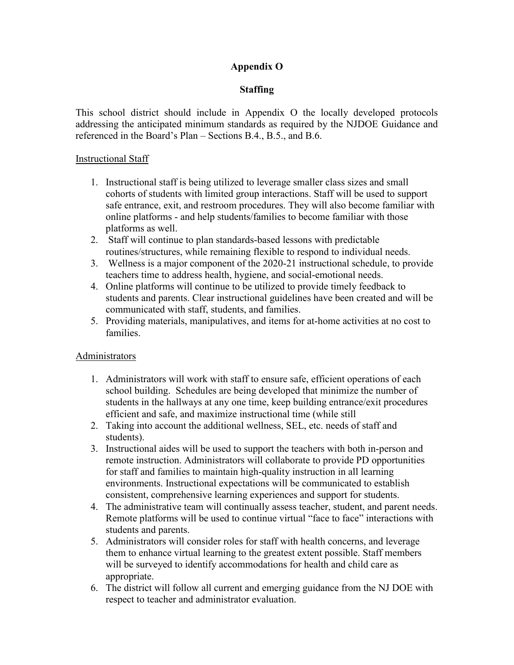# **Appendix O**

# **Staffing**

This school district should include in Appendix O the locally developed protocols addressing the anticipated minimum standards as required by the NJDOE Guidance and referenced in the Board's Plan – Sections B.4., B.5., and B.6.

#### Instructional Staff

- 1. Instructional staff is being utilized to leverage smaller class sizes and small cohorts of students with limited group interactions. Staff will be used to support safe entrance, exit, and restroom procedures. They will also become familiar with online platforms - and help students/families to become familiar with those platforms as well.
- 2. Staff will continue to plan standards-based lessons with predictable routines/structures, while remaining flexible to respond to individual needs.
- 3. Wellness is a major component of the 2020-21 instructional schedule, to provide teachers time to address health, hygiene, and social-emotional needs.
- 4. Online platforms will continue to be utilized to provide timely feedback to students and parents. Clear instructional guidelines have been created and will be communicated with staff, students, and families.
- 5. Providing materials, manipulatives, and items for at-home activities at no cost to families.

# Administrators

- 1. Administrators will work with staff to ensure safe, efficient operations of each school building. Schedules are being developed that minimize the number of students in the hallways at any one time, keep building entrance/exit procedures efficient and safe, and maximize instructional time (while still
- 2. Taking into account the additional wellness, SEL, etc. needs of staff and students).
- 3. Instructional aides will be used to support the teachers with both in-person and remote instruction. Administrators will collaborate to provide PD opportunities for staff and families to maintain high-quality instruction in all learning environments. Instructional expectations will be communicated to establish consistent, comprehensive learning experiences and support for students.
- 4. The administrative team will continually assess teacher, student, and parent needs. Remote platforms will be used to continue virtual "face to face" interactions with students and parents.
- 5. Administrators will consider roles for staff with health concerns, and leverage them to enhance virtual learning to the greatest extent possible. Staff members will be surveyed to identify accommodations for health and child care as appropriate.
- 6. The district will follow all current and emerging guidance from the NJ DOE with respect to teacher and administrator evaluation.